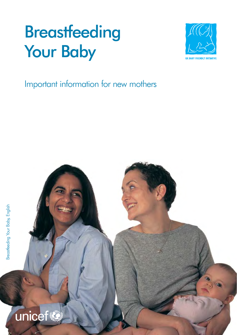# **Breastfeeding** Your Baby



### Important information for new mothers

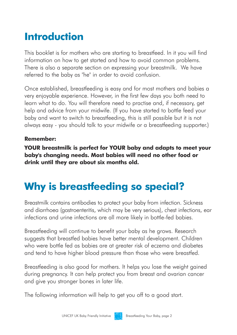# **Introduction**

This booklet is for mothers who are starting to breastfeed. In it you will find information on how to get started and how to avoid common problems. There is also a separate section on expressing your breastmilk. We have referred to the baby as "he" in order to avoid confusion.

Once established, breastfeeding is easy and for most mothers and babies a very enjoyable experience. However, in the first few days you both need to learn what to do. You will therefore need to practise and, if necessary, get help and advice from your midwife. (If you have started to bottle feed your baby and want to switch to breastfeeding, this is still possible but it is not always easy - you should talk to your midwife or a breastfeeding supporter.)

#### **Remember:**

**YOUR breastmilk is perfect for YOUR baby and adapts to meet your baby's changing needs. Most babies will need no other food or drink until they are about six months old.**

## **Why is breastfeeding so special?**

Breastmilk contains antibodies to protect your baby from infection. Sickness and diarrhoea (gastroenteritis, which may be very serious), chest infections, ear infections and urine infections are all more likely in bottle-fed babies.

Breastfeeding will continue to benefit your baby as he grows. Research suggests that breastfed babies have better mental development. Children who were bottle fed as babies are at greater risk of eczema and diabetes and tend to have higher blood pressure than those who were breastfed.

Breastfeeding is also good for mothers. It helps you lose the weight gained during pregnancy. It can help protect you from breast and ovarian cancer and give you stronger bones in later life.

The following information will help to get you off to a good start.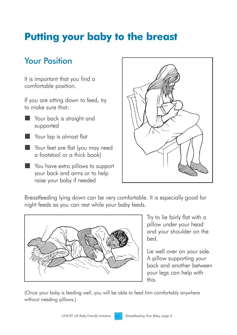## **Putting your baby to the breast**

### Your Position

It is important that you find a comfortable position.

If you are sitting down to feed, try to make sure that:

- o Your back is straight and supported
- Your lap is almost flat
- Your feet are flat (you may need a footstool or a thick book)
- You have extra pillows to support your back and arms or to help raise your baby if needed



Breastfeeding lying down can be very comfortable. It is especially good for night feeds as you can rest while your baby feeds.



Try to lie fairly flat with a pillow under your head and your shoulder on the bed.

Lie well over on your side. A pillow supporting your back and another between your legs can help with this.

(Once your baby is feeding well, you will be able to feed him comfortably anywhere without needing pillows.)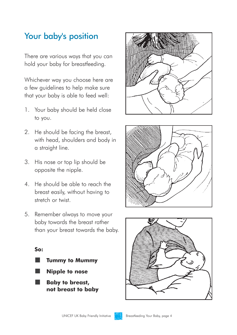#### Your baby's position

There are various ways that you can hold your baby for breastfeeding.

Whichever way you choose here are a few guidelines to help make sure that your baby is able to feed well:

- 1. Your baby should be held close to you.
- 2. He should be facing the breast, with head, shoulders and body in a straight line.
- 3. His nose or top lip should be opposite the nipple.
- 4. He should be able to reach the breast easily, without having to stretch or twist.
- 5. Remember always to move your baby towards the breast rather than your breast towards the baby.

o o o

**So:** 









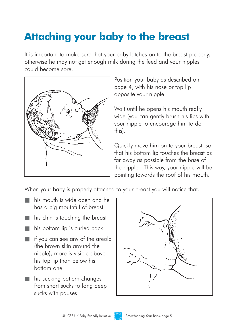# **Attaching your baby to the breast**

It is important to make sure that your baby latches on to the breast properly, otherwise he may not get enough milk during the feed and your nipples could become sore.



Position your baby as described on page 4, with his nose or top lip opposite your nipple.

Wait until he opens his mouth really wide (you can gently brush his lips with your nipple to encourage him to do this).

Quickly move him on to your breast, so that his bottom lip touches the breast as far away as possible from the base of the nipple. This way, your nipple will be pointing towards the roof of his mouth.

When your baby is properly attached to your breast you will notice that:

- his mouth is wide open and he has a big mouthful of breast
- his chin is touching the breast
- his bottom lip is curled back
- $\blacksquare$  if you can see any of the areola (the brown skin around the nipple), more is visible above his top lip than below his bottom one
- **his sucking pattern changes** from short sucks to long deep sucks with pauses



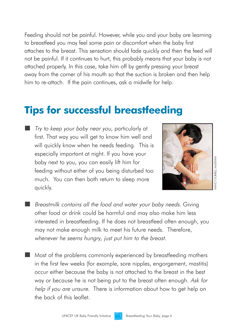Feeding should not be painful. However, while you and your baby are learning to breastfeed you may feel some pain or discomfort when the baby first attaches to the breast. This sensation should fade quickly and then the feed will not be painful. If it continues to hurt, this probably means that your baby is not attached properly. In this case, take him off by gently pressing your breast away from the corner of his mouth so that the suction is broken and then help him to re-attach. If the pain continues, ask a midwife for help.

### **Tips for successful breastfeeding**

o Try to keep your baby near you, particularly at first. That way you will get to know him well and will quickly know when he needs feeding. This is especially important at night. If you have your baby next to you, you can easily lift him for feeding without either of you being disturbed too much. You can then both return to sleep more quickly.



- **Breastmilk contains all the food and water your baby needs. Giving** other food or drink could be harmful and may also make him less interested in breastfeeding. If he does not breastfeed often enough, you may not make enough milk to meet his future needs. Therefore, whenever he seems hungry, just put him to the breast.
- Most of the problems commonly experienced by breastfeeding mothers in the first few weeks (for example, sore nipples, engorgement, mastitis) occur either because the baby is not attached to the breast in the best way or because he is not being put to the breast often enough. Ask for help if you are unsure. There is information about how to get help on the back of this leaflet.

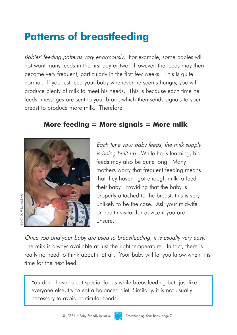# **Patterns of breastfeeding**

Babies' feeding patterns vary enormously. For example, some babies will not want many feeds in the first day or two. However, the feeds may then become very frequent, particularly in the first few weeks. This is quite normal. If you just feed your baby whenever he seems hungry, you will produce plenty of milk to meet his needs. This is because each time he feeds, messages are sent to your brain, which then sends signals to your breast to produce more milk. Therefore:

#### **More feeding = More signals = More milk**



Each time your baby feeds, the milk supply is being built up. While he is learning, his feeds may also be quite long. Many mothers worry that frequent feeding means that they haven't got enough milk to feed their baby. Providing that the baby is properly attached to the breast, this is very unlikely to be the case. Ask your midwife or health visitor for advice if you are unsure.

Once you and your baby are used to breastfeeding, it is usually very easy. The milk is always available at just the right temperature. In fact, there is really no need to think about it at all. Your baby will let you know when it is time for the next feed.

You don't have to eat special foods while breastfeeding but, just like everyone else, try to eat a balanced diet. Similarly, it is not usually necessary to avoid particular foods.

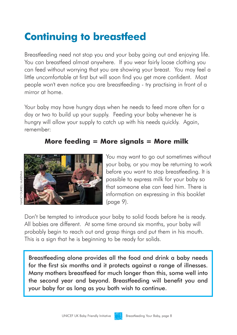# **Continuing to breastfeed**

Breastfeeding need not stop you and your baby going out and enjoying life. You can breastfeed almost anywhere. If you wear fairly loose clothing you can feed without worrying that you are showing your breast. You may feel a little uncomfortable at first but will soon find you get more confident. Most people won't even notice you are breastfeeding - try practising in front of a mirror at home.

Your baby may have hunary days when he needs to feed more often for a day or two to build up your supply. Feeding your baby whenever he is hungry will allow your supply to catch up with his needs quickly. Again, remember:

#### **More feeding = More signals = More milk**



You may want to go out sometimes without your baby, or you may be returning to work before you want to stop breastfeeding. It is possible to express milk for your baby so that someone else can feed him. There is information on expressing in this booklet (page 9).

Don't be tempted to introduce your baby to solid foods before he is ready. All babies are different. At some time around six months, your baby will probably begin to reach out and grasp things and put them in his mouth. This is a sign that he is beginning to be ready for solids.

Breastfeeding alone provides all the food and drink a baby needs for the first six months and it protects against a range of illnesses. Many mothers breastfeed for much longer than this, some well into the second year and beyond. Breastfeeding will benefit you and your baby for as long as you both wish to continue.

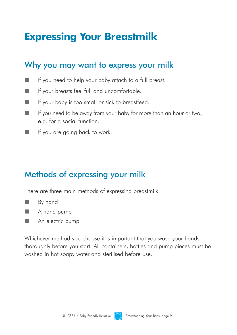# **Expressing Your Breastmilk**

#### Why you may want to express your milk

- o If you need to help your baby attach to a full breast.
- o If your breasts feel full and uncomfortable.
- o If your baby is too small or sick to breastfeed.
- o If you need to be away from your baby for more than an hour or two, e.g. for a social function.
- o If you are going back to work.

### Methods of expressing your milk

There are three main methods of expressing breastmilk:

- o By hand
- o A hand pump
- o An electric pump

Whichever method you choose it is important that you wash your hands thoroughly before you start. All containers, bottles and pump pieces must be washed in hot soapy water and sterilised before use.

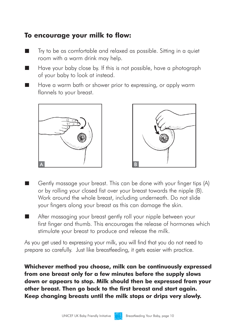#### **To encourage your milk to flow:**

- o Try to be as comfortable and relaxed as possible. Sitting in a quiet room with a warm drink may help.
- o Have your baby close by. If this is not possible, have a photograph of your baby to look at instead.
- o Have a warm bath or shower prior to expressing, or apply warm flannels to your breast.





- o Gently massage your breast. This can be done with your finger tips (A) or by rolling your closed fist over your breast towards the nipple (B). Work around the whole breast, including underneath. Do not slide your fingers along your breast as this can damage the skin.
- o After massaging your breast gently roll your nipple between your first finger and thumb. This encourages the release of hormones which stimulate your breast to produce and release the milk.

As you get used to expressing your milk, you will find that you do not need to prepare so carefully. Just like breastfeeding, it gets easier with practice.

**Whichever method you choose, milk can be continuously expressed from one breast only for a few minutes before the supply slows down or appears to stop. Milk should then be expressed from your other breast. Then go back to the first breast and start again. Keep changing breasts until the milk stops or drips very slowly.** 

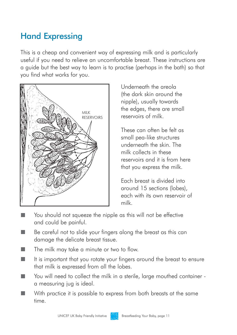### Hand Expressing

This is a cheap and convenient way of expressing milk and is particularly useful if you need to relieve an uncomfortable breast. These instructions are a guide but the best way to learn is to practise (perhaps in the bath) so that you find what works for you.



Underneath the areola (the dark skin around the nipple), usually towards the edges, there are small reservoirs of milk.

These can often be felt as small pea-like structures underneath the skin. The milk collects in these reservoirs and it is from here that you express the milk.

Each breast is divided into around 15 sections (lobes), each with its own reservoir of milk.

- You should not squeeze the nipple as this will not be effective and could be painful.
- o Be careful not to slide your fingers along the breast as this can damage the delicate breast tissue.
- o The milk may take a minute or two to flow.
- o It is important that you rotate your fingers around the breast to ensure that milk is expressed from all the lobes.
- o You will need to collect the milk in a sterile, large mouthed container a measuring jug is ideal.
- o With practice it is possible to express from both breasts at the same time.

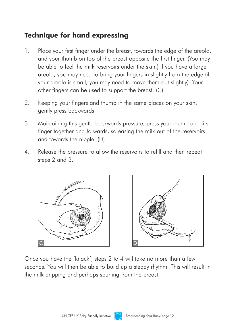#### **Technique for hand expressing**

- 1. Place your first finger under the breast, towards the edge of the areola, and your thumb on top of the breast opposite the first finger. (You may be able to feel the milk reservoirs under the skin.) If you have a large areola, you may need to bring your fingers in slightly from the edge (if your areola is small, you may need to move them out slightly). Your other fingers can be used to support the breast. (C)
- 2. Keeping your fingers and thumb in the same places on your skin, gently press backwards.
- 3. Maintaining this gentle backwards pressure, press your thumb and first finger together and forwards, so easing the milk out of the reservoirs and towards the nipple. (D)
- 4. Release the pressure to allow the reservoirs to refill and then repeat steps 2 and 3.



Once you have the 'knack', steps 2 to 4 will take no more than a few seconds. You will then be able to build up a steady rhythm. This will result in the milk dripping and perhaps spurting from the breast.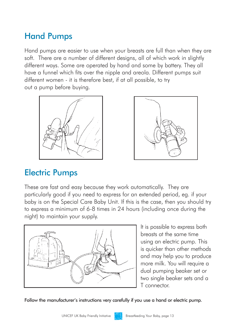### Hand Pumps

Hand pumps are easier to use when your breasts are full than when they are soft. There are a number of different designs, all of which work in slightly different ways. Some are operated by hand and some by battery. They all have a funnel which fits over the nipple and areola. Different pumps suit different women - it is therefore best, if at all possible, to try out a pump before buying.





### Electric Pumps

These are fast and easy because they work automatically. They are particularly good if you need to express for an extended period, eg. if your baby is on the Special Care Baby Unit. If this is the case, then you should try to express a minimum of 6-8 times in 24 hours (including once during the night) to maintain your supply.



It is possible to express both breasts at the same time using an electric pump. This is quicker than other methods and may help you to produce more milk. You will require a dual pumping beaker set or two single beaker sets and a T connector.

Follow the manufacturer's instructions very carefully if you use a hand or electric pump.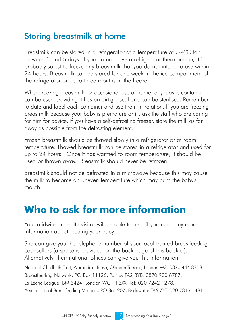#### Storing breastmilk at home

Breastmilk can be stored in a refrigerator at a temperature of  $2\text{-}4\text{°C}$  for between 3 and 5 days. If you do not have a refrigerator thermometer, it is probably safest to freeze any breastmilk that you do not intend to use within 24 hours. Breastmilk can be stored for one week in the ice compartment of the refrigerator or up to three months in the freezer.

When freezing breastmilk for occasional use at home, any plastic container can be used providing it has an airtight seal and can be sterilised. Remember to date and label each container and use them in rotation. If you are freezing breastmilk because your baby is premature or ill, ask the staff who are caring for him for advice. If you have a self-defrosting freezer, store the milk as far away as possible from the defrosting element.

Frozen breastmilk should be thawed slowly in a refrigerator or at room temperature. Thawed breastmilk can be stored in a refrigerator and used for up to 24 hours. Once it has warmed to room temperature, it should be used or thrown away. Breastmilk should never be refrozen.

Breastmilk should not be defrosted in a microwave because this may cause the milk to become an uneven temperature which may burn the baby's mouth.

## **Who to ask for more information**

Your midwife or health visitor will be able to help if you need any more information about feeding your baby.

She can give you the telephone number of your local trained breastfeeding counsellors (a space is provided on the back page of this booklet). Alternatively, their national offices can give you this information:

National Childbirth Trust, Alexandra House, Oldham Terrace, London W3. 0870 444 8708 Breastfeeding Network, PO Box 11126, Paisley PA2 8YB. 0870 900 8787. La Leche League, BM 3424, London WC1N 3XX. Tel: 020 7242 1278. Association of Breastfeeding Mothers, PO Box 207, Bridgwater TA6 7YT. 020 7813 1481.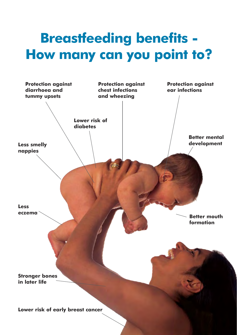# **Breastfeeding benefits - How many can you point to?**